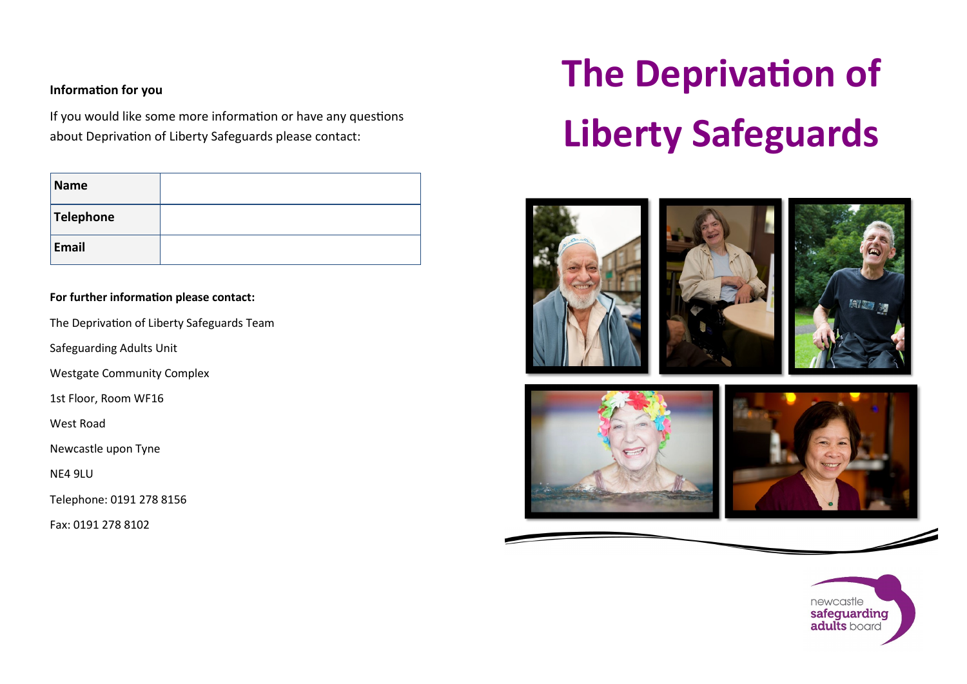## **Information for you**

If you would like some more information or have any questions about Deprivation of Liberty Safeguards please contact:

| Name      |  |
|-----------|--|
| Telephone |  |
| Email     |  |

## **For further information please contact:**

The Deprivation of Liberty Safeguards Team

Safeguarding Adults Unit

Westgate Community Complex

1st Floor, Room WF16

West Road

Newcastle upon Tyne

NE4 9LU

Telephone: 0191 278 8156

Fax: 0191 278 8102

# **The Deprivation of Liberty Safeguards**